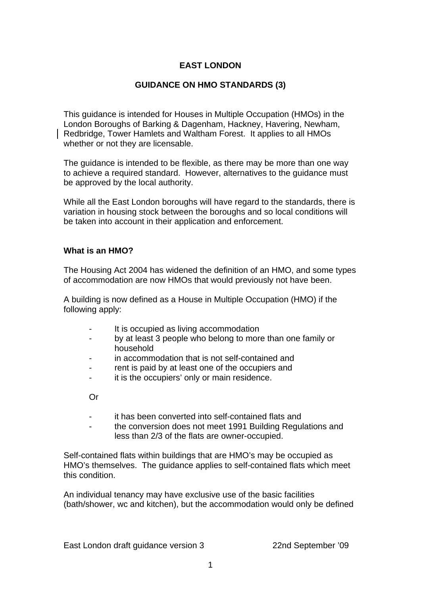# **EAST LONDON**

### **GUIDANCE ON HMO STANDARDS (3)**

This guidance is intended for Houses in Multiple Occupation (HMOs) in the London Boroughs of Barking & Dagenham, Hackney, Havering, Newham, Redbridge, Tower Hamlets and Waltham Forest. It applies to all HMOs whether or not they are licensable.

The guidance is intended to be flexible, as there may be more than one way to achieve a required standard. However, alternatives to the guidance must be approved by the local authority.

While all the East London boroughs will have regard to the standards, there is variation in housing stock between the boroughs and so local conditions will be taken into account in their application and enforcement.

#### **What is an HMO?**

The Housing Act 2004 has widened the definition of an HMO, and some types of accommodation are now HMOs that would previously not have been.

A building is now defined as a House in Multiple Occupation (HMO) if the following apply:

- It is occupied as living accommodation
- by at least 3 people who belong to more than one family or household
- in accommodation that is not self-contained and
- rent is paid by at least one of the occupiers and
- it is the occupiers' only or main residence.

Or

- it has been converted into self-contained flats and
- the conversion does not meet 1991 Building Regulations and less than 2/3 of the flats are owner-occupied.

Self-contained flats within buildings that are HMO's may be occupied as HMO's themselves. The guidance applies to self-contained flats which meet this condition.

An individual tenancy may have exclusive use of the basic facilities (bath/shower, wc and kitchen), but the accommodation would only be defined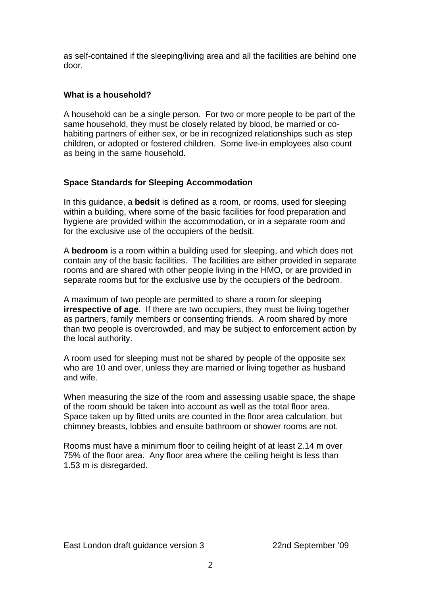as self-contained if the sleeping/living area and all the facilities are behind one door.

# **What is a household?**

A household can be a single person. For two or more people to be part of the same household, they must be closely related by blood, be married or cohabiting partners of either sex, or be in recognized relationships such as step children, or adopted or fostered children. Some live-in employees also count as being in the same household.

## **Space Standards for Sleeping Accommodation**

In this guidance, a **bedsit** is defined as a room, or rooms, used for sleeping within a building, where some of the basic facilities for food preparation and hygiene are provided within the accommodation, or in a separate room and for the exclusive use of the occupiers of the bedsit.

A **bedroom** is a room within a building used for sleeping, and which does not contain any of the basic facilities. The facilities are either provided in separate rooms and are shared with other people living in the HMO, or are provided in separate rooms but for the exclusive use by the occupiers of the bedroom.

A maximum of two people are permitted to share a room for sleeping **irrespective of age.** If there are two occupiers, they must be living together as partners, family members or consenting friends. A room shared by more than two people is overcrowded, and may be subject to enforcement action by the local authority.

A room used for sleeping must not be shared by people of the opposite sex who are 10 and over, unless they are married or living together as husband and wife.

When measuring the size of the room and assessing usable space, the shape of the room should be taken into account as well as the total floor area. Space taken up by fitted units are counted in the floor area calculation, but chimney breasts, lobbies and ensuite bathroom or shower rooms are not.

Rooms must have a minimum floor to ceiling height of at least 2.14 m over 75% of the floor area. Any floor area where the ceiling height is less than 1.53 m is disregarded.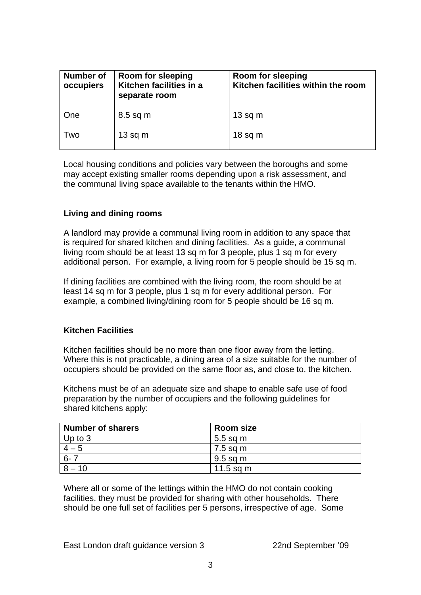| Number of<br>occupiers | <b>Room for sleeping</b><br>Kitchen facilities in a<br>separate room | Room for sleeping<br>Kitchen facilities within the room |
|------------------------|----------------------------------------------------------------------|---------------------------------------------------------|
| One                    | $8.5$ sq m                                                           | $13$ sq m                                               |
| Two                    | $13$ sq m                                                            | $18$ sq m                                               |

Local housing conditions and policies vary between the boroughs and some may accept existing smaller rooms depending upon a risk assessment, and the communal living space available to the tenants within the HMO.

### **Living and dining rooms**

A landlord may provide a communal living room in addition to any space that is required for shared kitchen and dining facilities. As a guide, a communal living room should be at least 13 sq m for 3 people, plus 1 sq m for every additional person. For example, a living room for 5 people should be 15 sq m.

If dining facilities are combined with the living room, the room should be at least 14 sq m for 3 people, plus 1 sq m for every additional person. For example, a combined living/dining room for 5 people should be 16 sq m.

### **Kitchen Facilities**

Kitchen facilities should be no more than one floor away from the letting. Where this is not practicable, a dining area of a size suitable for the number of occupiers should be provided on the same floor as, and close to, the kitchen.

Kitchens must be of an adequate size and shape to enable safe use of food preparation by the number of occupiers and the following guidelines for shared kitchens apply:

| <b>Number of sharers</b> | <b>Room size</b> |
|--------------------------|------------------|
| $ $ Up to 3              | $5.5$ sq m       |
| $4 - 5$                  | 7.5 sq m         |
| $6 - 7$                  | 9.5 sq m         |
| $8 - 10$                 | $11.5$ sq m      |

Where all or some of the lettings within the HMO do not contain cooking facilities, they must be provided for sharing with other households. There should be one full set of facilities per 5 persons, irrespective of age. Some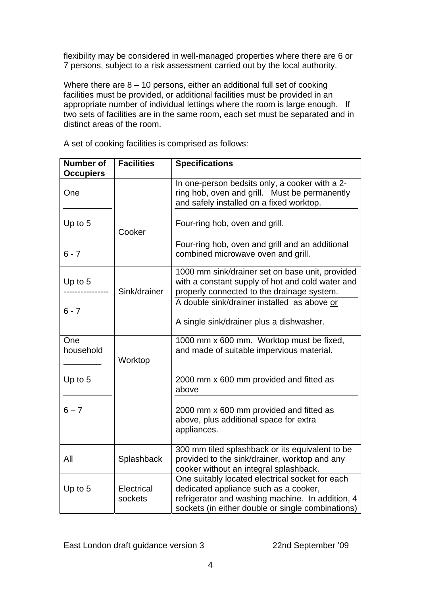flexibility may be considered in well-managed properties where there are 6 or 7 persons, subject to a risk assessment carried out by the local authority.

Where there are  $8 - 10$  persons, either an additional full set of cooking facilities must be provided, or additional facilities must be provided in an appropriate number of individual lettings where the room is large enough. If two sets of facilities are in the same room, each set must be separated and in distinct areas of the room.

| <b>Number of</b><br><b>Occupiers</b> | <b>Facilities</b>     | <b>Specifications</b>                                                                                                                                                                             |
|--------------------------------------|-----------------------|---------------------------------------------------------------------------------------------------------------------------------------------------------------------------------------------------|
| One                                  |                       | In one-person bedsits only, a cooker with a 2-<br>ring hob, oven and grill. Must be permanently<br>and safely installed on a fixed worktop.                                                       |
| Up to 5                              | Cooker                | Four-ring hob, oven and grill.                                                                                                                                                                    |
| $6 - 7$                              |                       | Four-ring hob, oven and grill and an additional<br>combined microwave oven and grill.                                                                                                             |
| Up to $5$                            | Sink/drainer          | 1000 mm sink/drainer set on base unit, provided<br>with a constant supply of hot and cold water and<br>properly connected to the drainage system.<br>A double sink/drainer installed as above or  |
| $6 - 7$                              |                       | A single sink/drainer plus a dishwasher.                                                                                                                                                          |
| One<br>household                     | Worktop               | 1000 mm x 600 mm. Worktop must be fixed,<br>and made of suitable impervious material.                                                                                                             |
| Up to 5                              |                       | 2000 mm x 600 mm provided and fitted as<br>above                                                                                                                                                  |
| $6 - 7$                              |                       | 2000 mm x 600 mm provided and fitted as<br>above, plus additional space for extra<br>appliances.                                                                                                  |
| All                                  | Splashback            | 300 mm tiled splashback or its equivalent to be<br>provided to the sink/drainer, worktop and any<br>cooker without an integral splashback.                                                        |
| Up to 5                              | Electrical<br>sockets | One suitably located electrical socket for each<br>dedicated appliance such as a cooker,<br>refrigerator and washing machine. In addition, 4<br>sockets (in either double or single combinations) |

A set of cooking facilities is comprised as follows: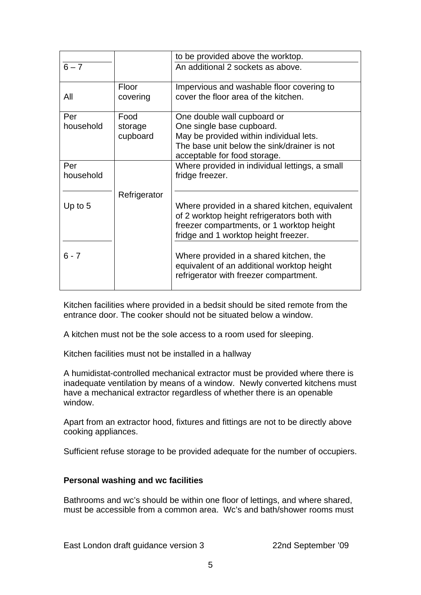|           |              | to be provided above the worktop.                                                                                               |
|-----------|--------------|---------------------------------------------------------------------------------------------------------------------------------|
| $6 - 7$   |              | An additional 2 sockets as above.                                                                                               |
|           | <b>Floor</b> | Impervious and washable floor covering to                                                                                       |
| All       | covering     | cover the floor area of the kitchen.                                                                                            |
| Per       | Food         | One double wall cupboard or                                                                                                     |
| household | storage      | One single base cupboard.                                                                                                       |
|           | cupboard     | May be provided within individual lets.                                                                                         |
|           |              | The base unit below the sink/drainer is not                                                                                     |
|           |              | acceptable for food storage.                                                                                                    |
| Per       |              | Where provided in individual lettings, a small                                                                                  |
| household |              | fridge freezer.                                                                                                                 |
|           |              |                                                                                                                                 |
|           | Refrigerator |                                                                                                                                 |
| Up to $5$ |              | Where provided in a shared kitchen, equivalent<br>of 2 worktop height refrigerators both with                                   |
|           |              | freezer compartments, or 1 worktop height<br>fridge and 1 worktop height freezer.                                               |
|           |              |                                                                                                                                 |
| $6 - 7$   |              | Where provided in a shared kitchen, the<br>equivalent of an additional worktop height<br>refrigerator with freezer compartment. |
|           |              |                                                                                                                                 |

Kitchen facilities where provided in a bedsit should be sited remote from the entrance door. The cooker should not be situated below a window.

A kitchen must not be the sole access to a room used for sleeping.

Kitchen facilities must not be installed in a hallway

A humidistat-controlled mechanical extractor must be provided where there is inadequate ventilation by means of a window. Newly converted kitchens must have a mechanical extractor regardless of whether there is an openable window.

Apart from an extractor hood, fixtures and fittings are not to be directly above cooking appliances.

Sufficient refuse storage to be provided adequate for the number of occupiers.

## **Personal washing and wc facilities**

Bathrooms and wc's should be within one floor of lettings, and where shared, must be accessible from a common area. Wc's and bath/shower rooms must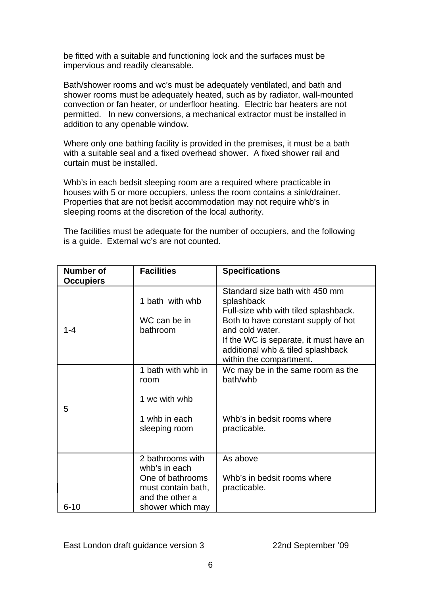be fitted with a suitable and functioning lock and the surfaces must be impervious and readily cleansable.

Bath/shower rooms and wc's must be adequately ventilated, and bath and shower rooms must be adequately heated, such as by radiator, wall-mounted convection or fan heater, or underfloor heating. Electric bar heaters are not permitted. In new conversions, a mechanical extractor must be installed in addition to any openable window.

Where only one bathing facility is provided in the premises, it must be a bath with a suitable seal and a fixed overhead shower. A fixed shower rail and curtain must be installed.

Whb's in each bedsit sleeping room are a required where practicable in houses with 5 or more occupiers, unless the room contains a sink/drainer. Properties that are not bedsit accommodation may not require whb's in sleeping rooms at the discretion of the local authority.

The facilities must be adequate for the number of occupiers, and the following is a guide. External wc's are not counted.

| <b>Number of</b><br><b>Occupiers</b> | <b>Facilities</b>                                                                                                  | <b>Specifications</b>                                                                                                                                                                                                                                    |
|--------------------------------------|--------------------------------------------------------------------------------------------------------------------|----------------------------------------------------------------------------------------------------------------------------------------------------------------------------------------------------------------------------------------------------------|
| 1-4                                  | 1 bath with whb<br>WC can be in<br>bathroom                                                                        | Standard size bath with 450 mm<br>splashback<br>Full-size whb with tiled splashback.<br>Both to have constant supply of hot<br>and cold water.<br>If the WC is separate, it must have an<br>additional whb & tiled splashback<br>within the compartment. |
| 5                                    | 1 bath with whb in<br>room<br>1 wc with whb<br>1 whb in each<br>sleeping room                                      | Wc may be in the same room as the<br>bath/whb<br>Whb's in bedsit rooms where<br>practicable.                                                                                                                                                             |
| $6 - 10$                             | 2 bathrooms with<br>whb's in each<br>One of bathrooms<br>must contain bath,<br>and the other a<br>shower which may | As above<br>Whb's in bedsit rooms where<br>practicable.                                                                                                                                                                                                  |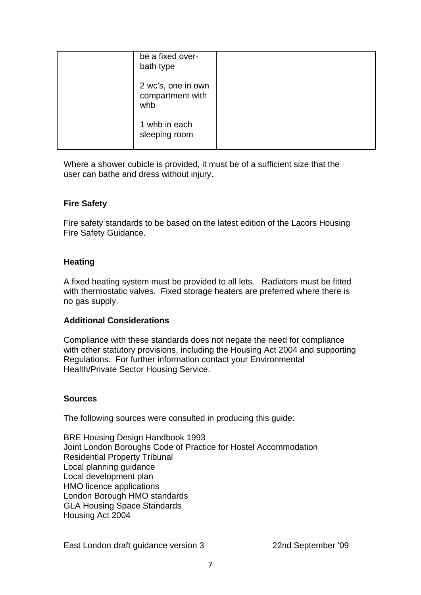| be a fixed over-<br>bath type                 |  |
|-----------------------------------------------|--|
| 2 wc's, one in own<br>compartment with<br>whb |  |
| 1 whb in each<br>sleeping room                |  |

Where a shower cubicle is provided, it must be of a sufficient size that the user can bathe and dress without injury.

### **Fire Safety**

Fire safety standards to be based on the latest edition of the Lacors Housing Fire Safety Guidance.

### **Heating**

A fixed heating system must be provided to all lets. Radiators must be fitted with thermostatic valves. Fixed storage heaters are preferred where there is no gas supply.

### **Additional Considerations**

Compliance with these standards does not negate the need for compliance with other statutory provisions, including the Housing Act 2004 and supporting Regulations. For further information contact your Environmental Health/Private Sector Housing Service.

### **Sources**

The following sources were consulted in producing this guide:

BRE Housing Design Handbook 1993 Joint London Boroughs Code of Practice for Hostel Accommodation Residential Property Tribunal Local planning guidance Local development plan HMO licence applications London Borough HMO standards GLA Housing Space Standards Housing Act 2004